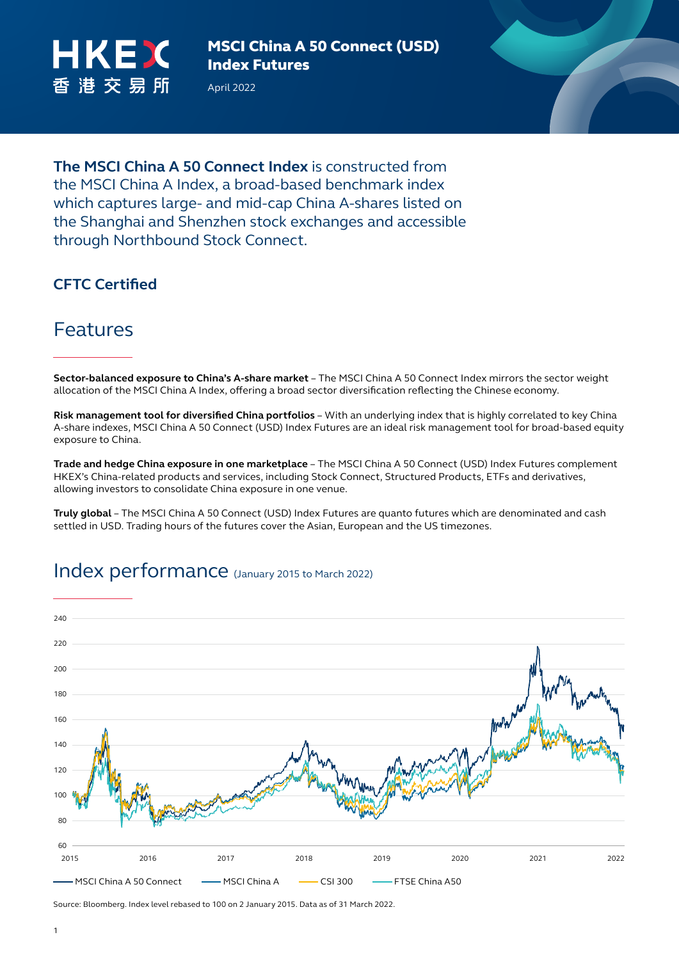

April 2022



#### **CFTC Certified**

through Northbound Stock Connect.

### Features

**Sector-balanced exposure to China's A-share market** – The MSCI China A 50 Connect Index mirrors the sector weight allocation of the MSCI China A Index, offering a broad sector diversification reflecting the Chinese economy.

**Risk management tool for diversified China portfolios** – With an underlying index that is highly correlated to key China A-share indexes, MSCI China A 50 Connect (USD) Index Futures are an ideal risk management tool for broad-based equity exposure to China.

**Trade and hedge China exposure in one marketplace** – The MSCI China A 50 Connect (USD) Index Futures complement HKEX's China-related products and services, including Stock Connect, Structured Products, ETFs and derivatives, allowing investors to consolidate China exposure in one venue.

**Truly global** – The MSCI China A 50 Connect (USD) Index Futures are quanto futures which are denominated and cash settled in USD. Trading hours of the futures cover the Asian, European and the US timezones.



#### Index performance (January 2015 to March 2022)

Source: Bloomberg. Index level rebased to 100 on 2 January 2015. Data as of 31 March 2022.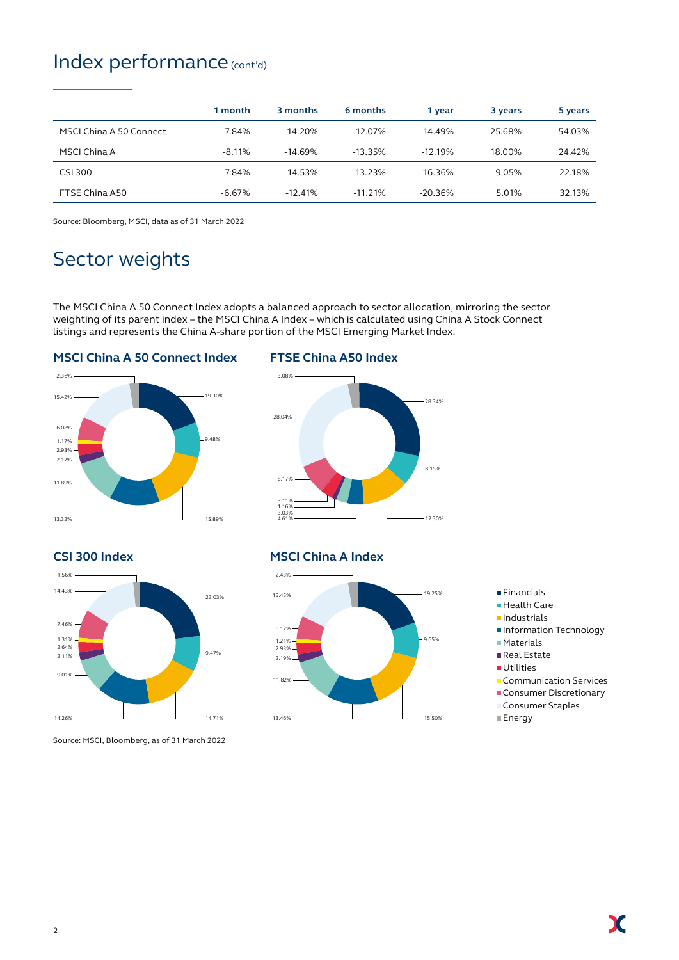### Index performance (cont'd)

|                         | 1 month  | 3 months  | 6 months   | 1 year     | 3 years | 5 years |
|-------------------------|----------|-----------|------------|------------|---------|---------|
| MSCI China A 50 Connect | $-7.84%$ | $-14.20%$ | $-12.07\%$ | $-14.49%$  | 25.68%  | 54.03%  |
| MSCI China A            | $-8.11%$ | $-14.69%$ | $-13.35%$  | $-12.19%$  | 18.00%  | 24.42%  |
| <b>CSI 300</b>          | $-7.84%$ | $-14.53%$ | $-13.23%$  | $-16.36%$  | 9.05%   | 22.18%  |
| FTSE China A50          | $-6.67%$ | $-12.41%$ | $-11.21\%$ | $-20.36\%$ | 5.01%   | 32.13%  |

Source: Bloomberg, MSCI, data as of 31 March 2022

# Sector weights

The MSCI China A 50 Connect Index adopts a balanced approach to sector allocation, mirroring the sector weighting of its parent index – the MSCI China A Index – which is calculated using China A Stock Connect listings and represents the China A-share portion of the MSCI Emerging Market Index.

#### **MSCI China A 50 Connect Index**



#### **FTSE China A50 Index**



**CSI 300 Index**



Source: MSCI, Bloomberg, as of 31 March 2022

#### **MSCI China A Index**



- **Financials**
- Health Care
- $\blacksquare$ Industrials
- **Information Technology**
- Materials
- Real Estate
- **Utilities**
- **Communication Services**

X

- **Consumer Discretionary** Consumer Staples
- Energy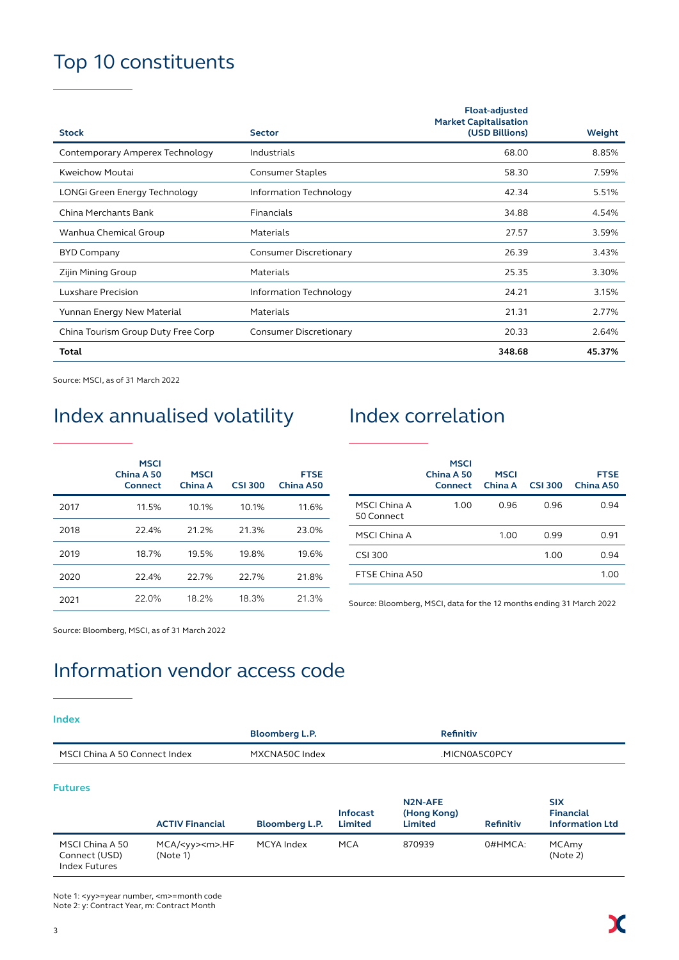# Top 10 constituents

|                                    |                               | <b>Float-adjusted</b><br><b>Market Capitalisation</b> |        |
|------------------------------------|-------------------------------|-------------------------------------------------------|--------|
| <b>Stock</b>                       | <b>Sector</b>                 | (USD Billions)                                        | Weight |
| Contemporary Amperex Technology    | Industrials                   | 68.00                                                 | 8.85%  |
| Kweichow Moutai                    | <b>Consumer Staples</b>       | 58.30                                                 | 7.59%  |
| LONGi Green Energy Technology      | Information Technology        | 42.34                                                 | 5.51%  |
| China Merchants Bank               | Financials                    | 34.88                                                 | 4.54%  |
| Wanhua Chemical Group              | Materials                     | 27.57                                                 | 3.59%  |
| <b>BYD Company</b>                 | <b>Consumer Discretionary</b> | 26.39                                                 | 3.43%  |
| Zijin Mining Group                 | Materials                     | 25.35                                                 | 3.30%  |
| Luxshare Precision                 | Information Technology        | 24.21                                                 | 3.15%  |
| Yunnan Energy New Material         | Materials                     | 21.31                                                 | 2.77%  |
| China Tourism Group Duty Free Corp | <b>Consumer Discretionary</b> | 20.33                                                 | 2.64%  |
| <b>Total</b>                       |                               | 348.68                                                | 45.37% |

Source: MSCI, as of 31 March 2022

# Index annualised volatility Index correlation

|      | <b>MSCI</b><br>China A 50<br>Connect | <b>MSCI</b><br>China A | <b>CSI 300</b> | <b>FTSE</b><br>China A50 |
|------|--------------------------------------|------------------------|----------------|--------------------------|
| 2017 | 11.5%                                | 10.1%                  | 10.1%          | 11.6%                    |
| 2018 | 22.4%                                | 21.2%                  | 21.3%          | 23.0%                    |
| 2019 | 18.7%                                | 19.5%                  | 19.8%          | 19.6%                    |
| 2020 | 22.4%                                | 22.7%                  | 22.7%          | 21.8%                    |
| 2021 | 22.0%                                | 18.2%                  | 18.3%          | 21.3%                    |

|                            | <b>MSCI</b><br>China A 50<br><b>Connect</b> | <b>MSCI</b><br>China A | <b>CSI 300</b> | <b>FTSE</b><br>China A50 |
|----------------------------|---------------------------------------------|------------------------|----------------|--------------------------|
| MSCI China A<br>50 Connect | 1.00                                        | 0.96                   | 0.96           | 0.94                     |
| MSCI China A               |                                             | 1.00                   | 0.99           | 0.91                     |
| CSI 300                    |                                             |                        | 1.00           | 0.94                     |
| FTSE China A50             |                                             |                        |                | 1.00                     |

Source: Bloomberg, MSCI, data for the 12 months ending 31 March 2022

Source: Bloomberg, MSCI, as of 31 March 2022

# Information vendor access code

#### **Index**

|                                                          |                                                            | <b>Bloomberg L.P.</b> |                                   | <b>Refinitiv</b>                                      |                  |                                                   |
|----------------------------------------------------------|------------------------------------------------------------|-----------------------|-----------------------------------|-------------------------------------------------------|------------------|---------------------------------------------------|
| MSCI China A 50 Connect Index                            |                                                            | MXCNA50C Index        |                                   | .MICN0A5C0PCY                                         |                  |                                                   |
| <b>Futures</b>                                           | <b>ACTIV Financial</b>                                     | Bloomberg L.P.        | <b>Infocast</b><br><b>Limited</b> | N <sub>2</sub> N-AFE<br>(Hong Kong)<br><b>Limited</b> | <b>Refinitiv</b> | <b>SIX</b><br>Financial<br><b>Information Ltd</b> |
| MSCI China A 50<br>Connect (USD)<br><b>Index Futures</b> | $MCA/\langle yy \rangle \langle m \rangle$ .HF<br>(Note 1) | MCYA Index            | <b>MCA</b>                        | 870939                                                | $0#HMCA$ :       | MCAmy<br>(Note 2)                                 |

Note 1: <yy>=year number, <m>=month code Note 2: y: Contract Year, m: Contract Month